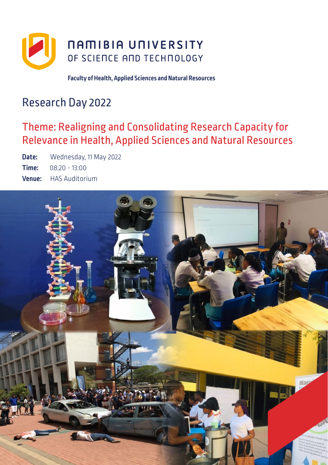

**Faculty of Health, Applied Sciences and Natural Resources**

# Research Day 2022

# Theme: Realigning and Consolidating Research Capacity for Relevance in Health, Applied Sciences and Natural Resources

**Date:** Wednesday, 11 May 2022 **Time:** 08:20 - 13:00 **Venue:** HAS Auditorium

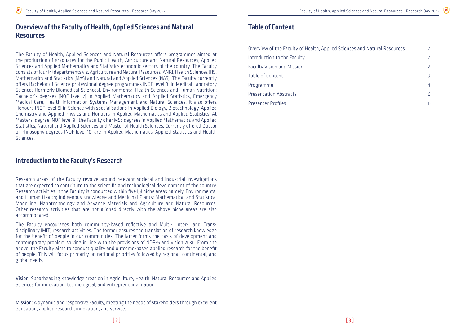### **Overview of the Faculty of Health, Applied Sciences and Natural Resources**

The Faculty of Health, Applied Sciences and Natural Resources offers programmes aimed at the production of graduates for the Public Health, Agriculture and Natural Resources, Applied Sciences and Applied Mathematics and Statistics economic sectors of the country. The Faculty consists of four (4) departments viz. Agriculture and Natural Resources (ANR), Health Sciences (HS, Mathematics and Statistics (MAS) and Natural and Applied Sciences (NAS). The Faculty currently offers Bachelor of Science professional degree programmes (NQF level 8) in Medical Laboratory Sciences (formerly Biomedical Sciences), Environmental Health Sciences and Human Nutrition; Bachelor's degrees (NQF level 7) in Applied Mathematics and Applied Statistics, Emergency Medical Care, Health Information Systems Management and Natural Sciences. It also offers Honours (NQF level 8) in Science with specialisations in Applied Biology, Biotechnology, Applied Chemistry and Applied Physics and Honours in Applied Mathematics and Applied Statistics. At Masters' degree (NQF level 9), the Faculty offer MSc degrees in Applied Mathematics and Applied Statistics, Natural and Applied Sciences and Master of Health Sciences. Currently offered Doctor of Philosophy degrees (NQF level 10) are in Applied Mathematics, Applied Statistics and Health Sciences.

### **Introduction to the Faculty's Research**

Research areas of the Faculty revolve around relevant societal and industrial investigations that are expected to contribute to the scientific and technological development of the country. Research activities in the Faculty is conducted within five (5) niche areas namely, Environmental and Human Health; Indigenous Knowledge and Medicinal Plants; Mathematical and Statistical Modelling, Nanotechnology and Advance Materials and Agriculture and Natural Resources. Other research activities that are not aligned directly with the above niche areas are also accommodated.

The Faculty encourages both community-based reflective and Multi-, Inter-, and Transdisciplinary (MIT) research activities. The former ensures the translation of research knowledge for the benefit of people in our communities. The latter forms the basis of development and contemporary problem solving in line with the provisions of NDP-5 and vision 2030. From the above, the Faculty aims to conduct quality and outcome-based applied research for the benefit of people. This will focus primarily on national priorities followed by regional, continental, and global needs.

Vision: Spearheading knowledge creation in Agriculture, Health, Natural Resources and Applied Sciences for innovation, technological, and entrepreneurial nation

Mission: A dynamic and responsive Faculty, meeting the needs of stakeholders through excellent education, applied research, innovation, and service.

# **Table of Content**

| Overview of the Faculty of Health, Applied Sciences and Natural Resources | $\mathcal{P}$  |
|---------------------------------------------------------------------------|----------------|
| Introduction to the Faculty                                               | $\mathcal{L}$  |
| <b>Faculty Vision and Mission</b>                                         | $\mathcal{L}$  |
| Table of Content                                                          | 3              |
| Programme                                                                 | $\overline{A}$ |
| <b>Presentation Abstracts</b>                                             | 6              |
| <b>Presenter Profiles</b>                                                 | 13             |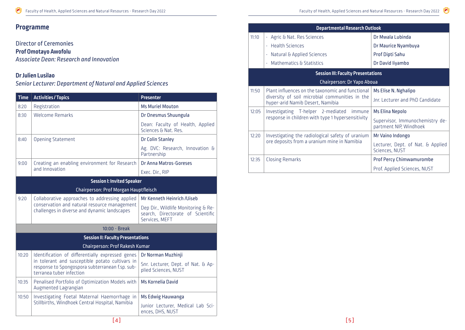## **Programme**

Director of Ceremonies

# **Prof Omotayo Awofolu**

*Associate Dean: Research and Innovation*

### **Dr Julien Lusilao**

*Senior Lecturer: Department of Natural and Applied Sciences*

| <b>Time</b>                              | <b>Activities / Topics</b>                                                                                                                                                         | <b>Presenter</b>                                                                           |  |  |
|------------------------------------------|------------------------------------------------------------------------------------------------------------------------------------------------------------------------------------|--------------------------------------------------------------------------------------------|--|--|
| 8:20                                     | Registration                                                                                                                                                                       | <b>Ms Muriel Mouton</b>                                                                    |  |  |
| 8:30                                     | <b>Welcome Remarks</b>                                                                                                                                                             | Dr Onesmus Shuungula                                                                       |  |  |
|                                          |                                                                                                                                                                                    | Dean: Faculty of Health, Applied<br>Sciences & Nat. Res.                                   |  |  |
| 8:40                                     | <b>Opening Statement</b>                                                                                                                                                           | Dr Colin Stanley                                                                           |  |  |
|                                          |                                                                                                                                                                                    | Ag. DVC: Research, Innovation &<br>Partnership                                             |  |  |
| 9:00                                     | Creating an enabling environment for Research<br>and Innovation                                                                                                                    | Dr Anna Matros-Goreses                                                                     |  |  |
|                                          |                                                                                                                                                                                    | Exec. Dir., RIP                                                                            |  |  |
| <b>Session I: Invited Speaker</b>        |                                                                                                                                                                                    |                                                                                            |  |  |
|                                          | Chairperson: Prof Morgan Hauptfleisch                                                                                                                                              |                                                                                            |  |  |
| 9:20                                     | Collaborative approaches to addressing applied<br>conservation and natural resource management<br>challenges in diverse and dynamic landscapes                                     | Mr Kenneth Heinrich /Uiseb                                                                 |  |  |
|                                          |                                                                                                                                                                                    | Dep Dir., Wildlife Monitoring & Re-<br>search, Directorate of Scientific<br>Services, MEFT |  |  |
|                                          | 10:00 - Break                                                                                                                                                                      |                                                                                            |  |  |
| <b>Session II: Faculty Presentations</b> |                                                                                                                                                                                    |                                                                                            |  |  |
| Chairperson: Prof Rakesh Kumar           |                                                                                                                                                                                    |                                                                                            |  |  |
| 10:20                                    | Identification of differentially expressed genes<br>in tolerant and susceptible potato cultivars in<br>response to Spongospora subterranean f.sp. sub-<br>terranea tuber infection | Dr Norman Muzhinji                                                                         |  |  |
|                                          |                                                                                                                                                                                    | Snr. Lecturer, Dept. of Nat. & Ap-<br>plied Sciences, NUST                                 |  |  |
| 10:35                                    | Penalised Portfolio of Optimization Models with<br>Augmented Lagrangian                                                                                                            | <b>Ms Kornelia David</b>                                                                   |  |  |
| 10:50                                    | Investigating Foetal Maternal Haemorrhage in<br>Stillbirths, Windhoek Central Hospital, Namibia                                                                                    | Ms Edwig Hauwanga                                                                          |  |  |
|                                          |                                                                                                                                                                                    | Junior Lecturer, Medical Lab Sci-<br>ences, DHS, NUST                                      |  |  |

| <b>Departmental Research Outlook</b>      |                                                                                                                                        |                                                           |  |  |  |
|-------------------------------------------|----------------------------------------------------------------------------------------------------------------------------------------|-----------------------------------------------------------|--|--|--|
| 11:10                                     | Agric & Nat. Res Sciences                                                                                                              | Dr Mwala Lubinda                                          |  |  |  |
|                                           | <b>Health Sciences</b><br>$\bullet$                                                                                                    | Dr Maurice Nyambuya                                       |  |  |  |
|                                           | Natural & Applied Sciences<br>$\bullet$                                                                                                | Prof Dipti Sahu                                           |  |  |  |
|                                           | Mathematics & Statistics<br>٠                                                                                                          | Dr David liyambo                                          |  |  |  |
| <b>Session III: Faculty Presentations</b> |                                                                                                                                        |                                                           |  |  |  |
| Chairperson: Dr Yapo Aboua                |                                                                                                                                        |                                                           |  |  |  |
| 11:50                                     | Plant influences on the taxonomic and functional<br>diversity of soil microbial communities in the<br>hyper-arid Namib Desert, Namibia | Ms Elise N. Nghalipo                                      |  |  |  |
|                                           |                                                                                                                                        | Jnr. Lecturer and PhD Candidate                           |  |  |  |
| 12:05                                     | Investigating T-helper 2-mediated<br>immune<br>response in children with type 1 hypersensitivity                                       | <b>Ms Elina Nepolo</b>                                    |  |  |  |
|                                           |                                                                                                                                        | Supervisor, Immunochemistry de-<br>partment NIP, Windhoek |  |  |  |
| 12:20                                     | Investigating the radiological safety of uranium<br>ore deposits from a uranium mine in Namibia                                        | Mr Vaino Indongo                                          |  |  |  |
|                                           |                                                                                                                                        | Lecturer, Dept. of Nat. & Applied<br>Sciences, NUST       |  |  |  |
| 12:35                                     | <b>Closing Remarks</b>                                                                                                                 | <b>Prof Percy Chimwamurombe</b>                           |  |  |  |
|                                           |                                                                                                                                        | Prof. Applied Sciences, NUST                              |  |  |  |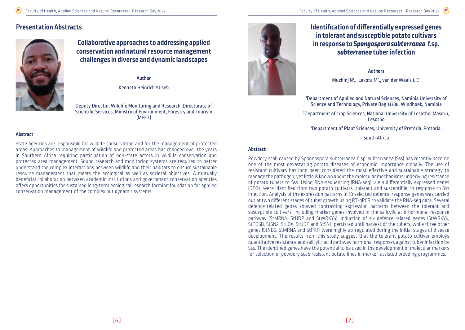## **Presentation Abstracts**



**Collaborative approaches to addressing applied conservation and natural resource management challenges in diverse and dynamic landscapes**

**Author**

Kenneth Heinrich /Uiseb

Deputy Director, Wildlife Monitoring and Research, Directorate of Scientific Services, Ministry of Environment, Forestry and Tourism (MEFT)

#### **Abstract**

State agencies are responsible for wildlife conservation and for the management of protected areas. Approaches to management of wildlife and protected areas has changed over the years in Southern Africa requiring participation of non-state actors in wildlife conservation and protected area management. Sound research and monitoring systems are required to better understand the complex interactions between wildlife and their habitats to ensure sustainable resource management that meets the ecological as well as societal objectives. A mutually beneficial collaboration between academic institutions and government conservation agencies offers opportunities for sustained long-term ecological research forming foundation for applied conservation management of the complex but dynamic systems.



### **Identification of differentially expressed genes in tolerant and susceptible potato cultivars in response to** *Spongospora subterranea* **f.sp.**  *subterranea* **tuber infection**

**Authors**

Muzhinj N<sup>1</sup>., Lekota M<sup>2</sup>., van der Waals J. E<sup>3</sup>

1 Department of Applied and Natural Sciences, Namibia University of Science and Technology, Private Bag 13388, Windhoek, Namibia

2 Department of crop Sciences, National University of Lesotho, Maseru, Lesotho

3 Department of Plant Sciences, University of Pretoria, Pretoria,

South Africa

#### **Abstract**

Powdery scab caused by Spongospora subterranea f. sp. subterranea (Sss) has recently become one of the most devastating potato diseases of economic importance globally. The use of resistant cultivars has long been considered the most effective and sustainable strategy to manage the pathogen; yet little is known about the molecular mechanisms underlying resistance of potato tubers to Sss. Using RNA-sequencing (RNA-seq), 2058 differentially expressed genes (DEGs) were identified from two potato cultivars (tolerant and susceptible) in response to Sss infection. Analysis of the expression patterns of 10 selected defence-response genes was carried out at two different stages of tuber growth using RT-qPCR to validate the RNA-seq data. Several defence-related genes showed contrasting expression patterns between the tolerant and susceptible cultivars, including marker genes involved in the salicylic acid hormonal response pathway (StMRNA, StUDP and StWRKY6). Induction of six defence-related genes (StWRKY6, StTOSB, StSN2, StLOX, StUDP and StSN1) persisted until harvest of the tubers, while three other genes (StNBS, StMRNA and StPRF) were highly up-regulated during the initial stages of disease development. The results from this study suggest that the tolerant potato cultivar employs quantitative resistance and salicylic acid pathway hormonal responses against tuber infection by Sss. The identified genes have the potential to be used in the development of molecular markers for selection of powdery scab resistant potato lines in marker-assisted breeding programmes.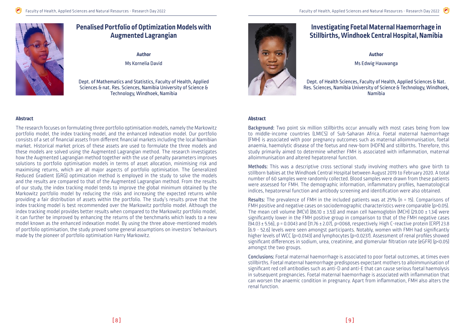

### **Penalised Portfolio of Optimization Models with Augmented Lagrangian**

**Author**

Ms Kornelia David

Dept. of Mathematics and Statistics, Faculty of Health, Applied Sciences & nat. Res. Sciences, Namibia University of Science & Technology, Windhoek, Namibia

#### **Abstract**

The research focuses on formulating three portfolio optimisation models, namely the Markowitz portfolio model, the index tracking model, and the enhanced indexation model. Our portfolio consists of a set of financial assets from different financial markets including the local Namibian market. Historical market prices of these assets are used to formulate the three models and these models are solved using the Augmented Lagrangian method. The research investigates how the Augmented Lagrangian method together with the use of penalty parameters improves solutions to portfolio optimisation models in terms of asset allocation, minimising risk and maximising returns, which are all major aspects of portfolio optimisation. The Generalized Reduced Gradient (GRG) optimization method is employed in the study to solve the models and the results are compared to that of the Augmented Lagrangian method. From the results of our study, the index tracking model tends to improve the global minimum obtained by the Markowitz portfolio model by reducing the risks and increasing the expected returns while providing a fair distribution of assets within the portfolio. The study's results prove that the index tracking model is best recommended over the Markowitz portfolio model. Although the index tracking model provides better results when compared to the Markowitz portfolio model, it can further be improved by enhancing the returns of the benchmarks which leads to a new model known as the enhanced indexation model. By using the three above-mentioned models of portfolio optimisation, the study proved some general assumptions on investors' behaviours made by the pioneer of portfolio optimisation Harry Markowitz.



### **Investigating Foetal Maternal Haemorrhage in Stillbirths, Windhoek Central Hospital, Namibia**

**Author**

Ms Edwig Hauwanga

Dept. of Health Sciences, Faculty of Health, Applied Sciences & Nat. Res. Sciences, Namibia University of Science & Technology, Windhoek, Namibia

#### **Abstract**

Background: Two point six million stillbirths occur annually with most cases being from low to middle-income countries (LMICS) of Sub-Saharan Africa. Foetal maternal haemorrhage (FMH) is associated with poor pregnancy outcomes such as maternal alloimmunisation, foetal anaemia, haemolytic disease of the foetus and new-born (HDFN) and stillbirths. Therefore, this study primarily aimed to determine whether FMH is associated with inflammation, maternal alloimmunisation and altered hepatorenal function.

Methods: This was a descriptive cross sectional study involving mothers who gave birth to stillborn babies at the Windhoek Central Hospital between August 2019 to February 2020. A total number of 60 samples were randomly collected. Blood samples were drawn from these patients were assessed for FMH. The demographic information, inflammatory profiles, haematological indices, hepatorenal function and antibody screening and identification were also obtained.

Results: The prevalence of FMH in the included patients was at 25% (n = 15). Comparisons of FMH positive and negative cases on sociodemographic characteristics were comparable (p>0.05). The mean cell volume (MCV) (86.10  $\pm$  3.53) and mean cell haemoglobin (MCH) (29.00  $\pm$  1.34) were significantly lower in the FMH positive group in comparison to that of the FMH negative cases (94.03 ± 5.56), p = 0.0043 and (31.76 ± 2.07), p=0068, respectively. High C-reactive protein (CRP) 23.8 [6.9 - 52.6] levels were seen amongst participants. Notably, women with FMH had significantly higher levels of WCC (p=0.0143) and lymphocytes (p=0.0237). Assessment of renal profiles showed significant differences in sodium, urea, creatinine, and glomerular filtration rate (eGFR) (p<0.05) amongst the two groups.

Conclusions: Foetal maternal haemorrhage is associated to poor foetal outcomes, at times even stillbirths. Foetal maternal haemorrhage predisposes expectant mothers to alloimmunisation of significant red cell antibodies such as anti-D and anti-E that can cause serious foetal haemolysis in subsequent pregnancies. Foetal maternal haemorrhage is associated with inflammation that can worsen the anaemic condition in pregnancy. Apart from inflammation, FMH also alters the renal function.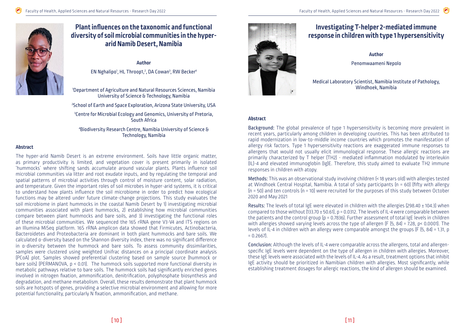

### **Plant influences on the taxonomic and functional diversity of soil microbial communities in the hyperarid Namib Desert, Namibia**

#### **Author**

 $EN$  Nghalipo<sup>1</sup>, HL Throop1,<sup>2</sup>, DA Cowan<sup>3</sup>, RW Becker<sup>4</sup>

1 Department of Agriculture and Natural Resources Sciences, Namibia University of Science & Technology, Namibia

2 School of Earth and Space Exploration, Arizona State University, USA

3 Centre for Microbial Ecology and Genomics, University of Pretoria, South Africa

4 Biodiversity Research Centre, Namibia University of Science & Technology, Namibia

#### **Abstract**

The hyper-arid Namib Desert is an extreme environment. Soils have little organic matter, as primary productivity is limited, and vegetation cover is present primarily in isolated 'hummocks' where shifting sands accumulate around vascular plants. Plants influence soil microbial communities via litter and root exudate inputs, and by regulating the temporal and spatial patterns of microbial activities through control of moisture content, solar radiation, and temperature. Given the important roles of soil microbes in hyper-arid systems, it is critical to understand how plants influence the soil microbiome in order to predict how ecological functions may be altered under future climate-change projections. This study evaluates the soil microbiome in plant hummocks in the coastal Namib Desert by 1) investigating microbial communities associated with plant hummocks, 2) establishing how microbial communities compare between plant hummocks and bare soils, and 3) investigating the functional roles of these microbial communities. We sequenced the 16S rRNA gene V3-V4 and ITS regions on an Illumina MiSeq platform. 16S rRNA amplicon data showed that Firmicutes, Actinobacteria, Bacteroidetes and Proteobacteria are dominant in both plant hummocks and bare soils. We calculated α-diversity based on the Shannon diversity index, there was no significant difference in α-diversity between the hummock and bare soils. To assess community dissimilarities, samples were clustered using weighted Unifrac distances on a principal coordinate analysis (PCoA) plot. Samples showed preferential clustering based on sample source (hummock or bare soils) (PERMANOVA, p < 0.01). The hummock soils supported more functional diversity in metabolic pathways relative to bare soils. The hummock soils had significantly enriched genes involved in nitrogen fixation, ammonification, denitrification, polyphosphate biosynthesis and degradation, and methane metabolism. Overall, these results demonstrate that plant hummock soils are hotspots of genes, providing a selective microbial environment and allowing for more potential functionality, particularly N fixation, ammonification, and methane.



### **Investigating T-helper 2-mediated immune response in children with type 1 hypersensitivity**

**Author**

Penomwaameni Nepolo

Medical Laboratory Scientist, Namibia Institute of Pathology, Windhoek, Namibia

#### **Abstract**

Background: The global prevalence of type 1 hypersensitivity is becoming more prevalent in recent years, particularly among children in developing countries. This has been attributed to rapid modernization in low-to-middle income countries which promotes the manifestation of allergy risk factors. Type 1 hypersensitivity reactions are exaggerated immune responses to allergens that would not usually elicit immunological response. These allergic reactions are primarily characterized by T helper (TH2) - mediated inflammation modulated by interleukin (IL)-4 and elevated immunoglobin (Ig)E. Therefore, this study aimed to evaluate TH2 immune responses in children with atopy.

Methods: This was an observational study involving children (< 18 years old) with allergies tested at Windhoek Central Hospital, Namibia. A total of sixty participants (n = 60) (fifty with allergy (n = 50) and ten controls (n = 10) were recruited for the purposes of this study between October 2020 and May 2021

Results: The levels of total IgE were elevated in children with the allergies (298.40 ± 104.3) when compared to those without (133.70  $\pm$  50.61), p = 0.0312. The levels of IL-4 were comparable between the patients and the control group (p = 0.7836). Further assessment of total IgE levels in children with allergies showed varying levels across the type of allergen (F (5, 84) = 7.28, p< 0.0001). The levels of IL-4 in children with an allergy were comparable amongst the groups (F (5, 84) = 1.31, p = 0.2667).

Conclusion: Although the levels of IL-4 were comparable across the allergens, total and allergenspecific IgE levels were dependent on the type of allergen in children with allergies. Moreover, these IgE levels were associated with the levels of IL-4. As a result, treatment options that inhibit IgE activity should be prioritized in Namibian children with allergies. Most significantly, while establishing treatment dosages for allergic reactions, the kind of allergen should be examined.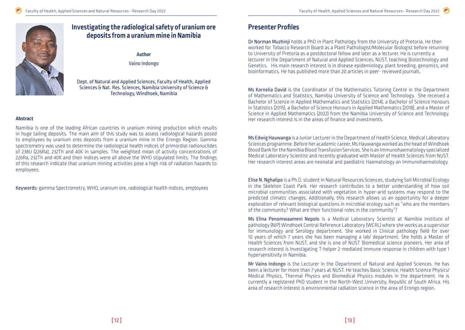

### **Investigating the radiological safety of uranium ore deposits from a uranium mine in Namibia**

**Author**

Vaino Indongo

Dept. of Natural and Applied Sciences, Faculty of Health, Applied Sciences & Nat. Res. Sciences, Namibia University of Science & Technology, Windhoek, Namibia

#### **Abstract**

Namibia is one of the leading African countries in uranium mining production which results in huge tailing deposits. The main aim of this study was to assess radiological hazards posed to employees by uranium ores deposits from a uranium mine in the Erongo Region. Gamma spectrometry was used to determine the radiological health indices of primordial radionuclides of 238U (226Ra), 232Th and 40K in samples. The weighted mean of activity concentrations of 226Ra, 232Th and 40K and their Indices were all above the WHO stipulated limits. The findings of this research indicate that uranium mining activities pose a high risk of radiation hazards to employees.

Keywords: gamma Spectrometry, WHO, uranium ore, radiological health indices, employees

## **Presenter Profiles**

Dr Norman Muzhinji holds a PhD in Plant Pathology from the University of Pretoria. He then worked for Tobacco Research Board as a Plant Pathologist/Molecular Biologist before returning to University of Pretoria as a postdoctoral fellow and later as a lecturer. He is currently a lecturer in the Department of Natural and Applied Sciences, NUST, teaching Biotechnology and Genetics. His main research interest is in disease epidemiology, plant breeding, genomics, and bioinformatics. He has published more than 20 articles in peer- reviewed journals.

Ms Kornelia David is the Coordinator of the Mathematics Tutoring Centre in the Department of Mathematics and Statistics, Namibia University of Science and Technology. She received a Bachelor of Science in Applied Mathematics and Statistics (2014), a Bachelor of Science Honours in Statistics (2015), a Bachelor of Science Honours in Applied Mathematics (2018), and a Master of Science in Applied Mathematics (2022) from the Namibia University of Science and Technology. Her research interest is in the areas of finance and investments.

Ms Edwig Hauwanga is a Junior Lecturer in the Department of Health Science, Medical Laboratory Sciences programme. Before her academic career, Ms Hauwanga worked as the head of Windhoek Blood Bank for the Namibia Blood Transfusion Services. She is an Immunohaematology specialized Medical Laboratory Scientist and recently graduated with Master of Health Sciences from NUST. Her research interest areas are neonatal and paediatric Haematology an Immunohaematology.

Elise N. Nghalipo is a Ph.D. student in Natural Resources Sciences, studying Soil Microbial Ecology in the Skeleton Coast Park. Her research contributes to a better understanding of how soil microbial communities associated with vegetation in hyper-arid systems may respond to the predicted climatic changes. Additionally, this research allows us an opportunity for a deeper exploration of relevant biological questions in microbial ecology such as "who are the members of the community? What are their functional roles in the community"?

Ms Elina Penomwaameni Nepolo is a Medical Laboratory Scientist at Namibia Institute of pathology (NIP) Windhoek Central Reference Laboratory (WCRL) where she works as a supervisor for Immunology and Serology department. She worked in Clinical pathology field for over 10 years of which 7 years she has been managing a lab/ department. She holds a Master of Health Sciences from NUST, and she is one of NUST Biomedical science pioneers. Her area of research interest is Investigating T-helper 2-mediated immune response in children with type 1 hypersensitivity in Namibia.

Mr Vaino Indongo is the Lecturer in the Department of Natural and Applied Sciences. He has been a lecturer for more than 7 years at NUST. He teaches Basic Science, Health Science Physics/ Medical Physics, Thermal Physics and Biomedical Physics modules in the department. He is currently a registered PhD student in the North-West University, Republic of South Africa. His area of research interest is environmental radiation science in the area of Erongo region.